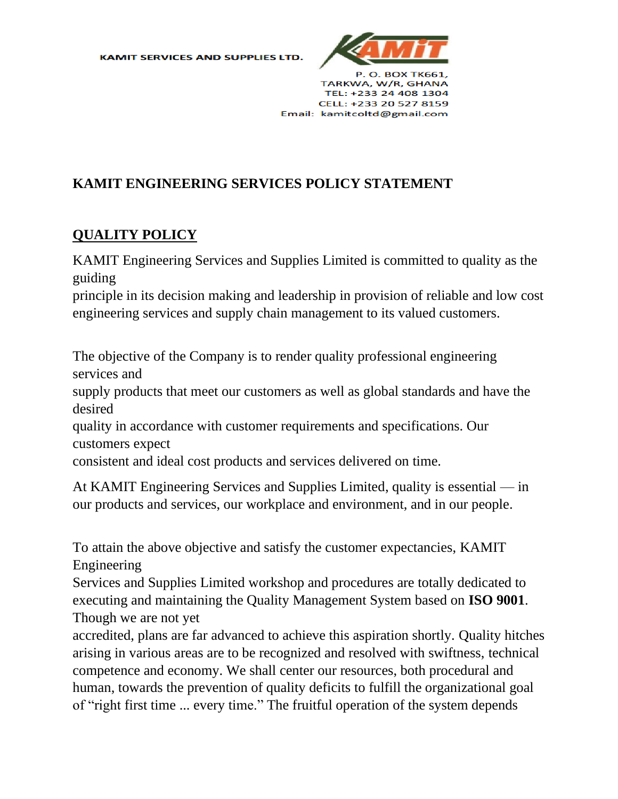**KAMIT SERVICES AND SUPPLIES LTD.** 



## **KAMIT ENGINEERING SERVICES POLICY STATEMENT**

## **QUALITY POLICY**

KAMIT Engineering Services and Supplies Limited is committed to quality as the guiding

principle in its decision making and leadership in provision of reliable and low cost engineering services and supply chain management to its valued customers.

The objective of the Company is to render quality professional engineering services and

supply products that meet our customers as well as global standards and have the desired

quality in accordance with customer requirements and specifications. Our customers expect

consistent and ideal cost products and services delivered on time.

At KAMIT Engineering Services and Supplies Limited, quality is essential — in our products and services, our workplace and environment, and in our people.

To attain the above objective and satisfy the customer expectancies, KAMIT Engineering

Services and Supplies Limited workshop and procedures are totally dedicated to executing and maintaining the Quality Management System based on **ISO 9001**. Though we are not yet

accredited, plans are far advanced to achieve this aspiration shortly. Quality hitches arising in various areas are to be recognized and resolved with swiftness, technical competence and economy. We shall center our resources, both procedural and human, towards the prevention of quality deficits to fulfill the organizational goal of "right first time ... every time." The fruitful operation of the system depends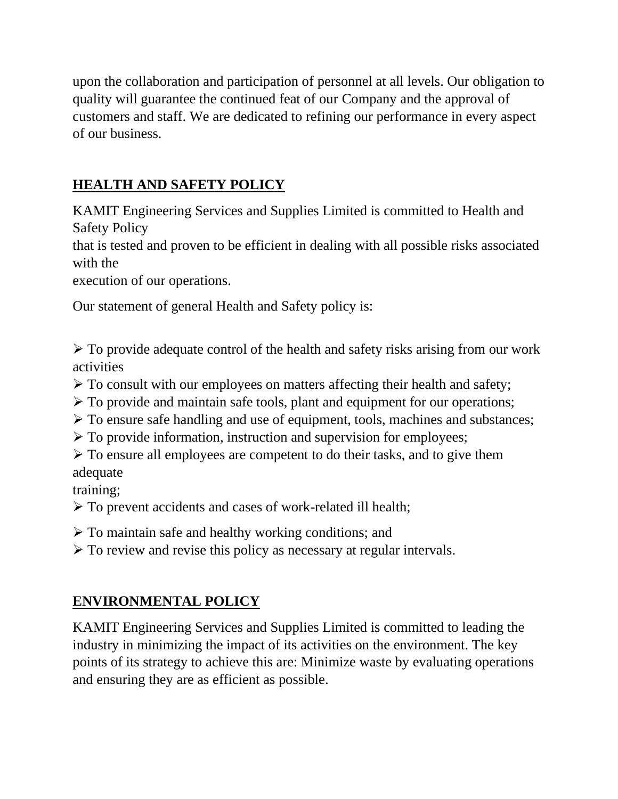upon the collaboration and participation of personnel at all levels. Our obligation to quality will guarantee the continued feat of our Company and the approval of customers and staff. We are dedicated to refining our performance in every aspect of our business.

## **HEALTH AND SAFETY POLICY**

KAMIT Engineering Services and Supplies Limited is committed to Health and Safety Policy

that is tested and proven to be efficient in dealing with all possible risks associated with the

execution of our operations.

Our statement of general Health and Safety policy is:

➢ To provide adequate control of the health and safety risks arising from our work activities

- ➢ To consult with our employees on matters affecting their health and safety;
- ➢ To provide and maintain safe tools, plant and equipment for our operations;
- ➢ To ensure safe handling and use of equipment, tools, machines and substances;
- ➢ To provide information, instruction and supervision for employees;
- ➢ To ensure all employees are competent to do their tasks, and to give them adequate

training;

- ➢ To prevent accidents and cases of work-related ill health;
- ➢ To maintain safe and healthy working conditions; and
- ➢ To review and revise this policy as necessary at regular intervals.

## **ENVIRONMENTAL POLICY**

KAMIT Engineering Services and Supplies Limited is committed to leading the industry in minimizing the impact of its activities on the environment. The key points of its strategy to achieve this are: Minimize waste by evaluating operations and ensuring they are as efficient as possible.